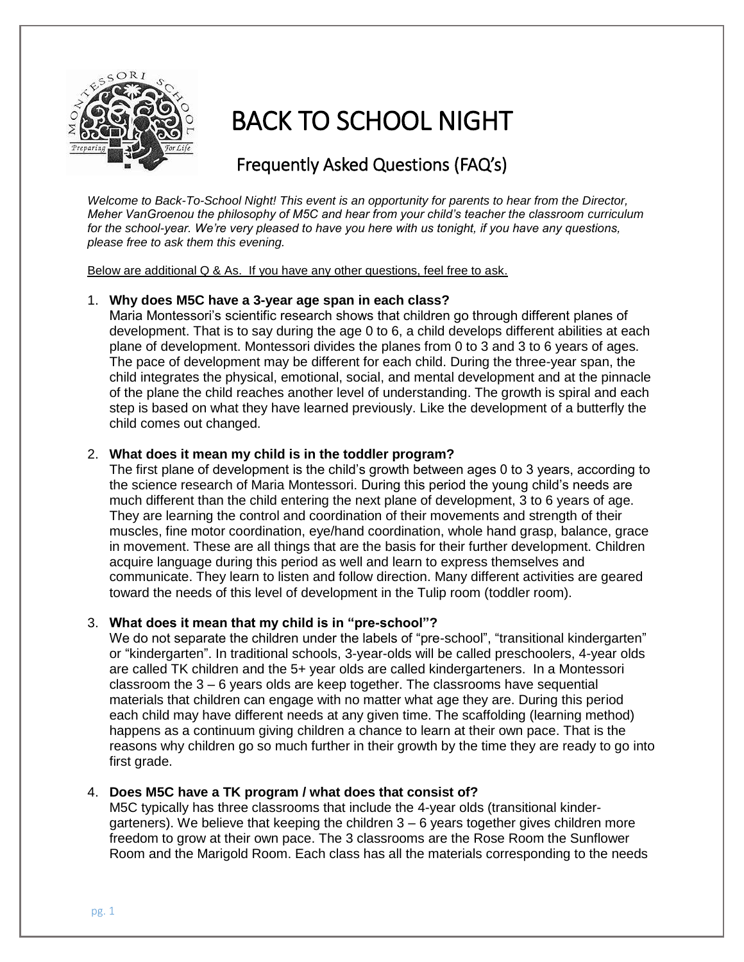

# BACK TO SCHOOL NIGHT

# Frequently Asked Questions (FAQ's)

*Welcome to Back-To-School Night! This event is an opportunity for parents to hear from the Director, Meher VanGroenou the philosophy of M5C and hear from your child's teacher the classroom curriculum for the school-year. We're very pleased to have you here with us tonight, if you have any questions, please free to ask them this evening.*

Below are additional Q & As. If you have any other questions, feel free to ask.

#### 1. **Why does M5C have a 3-year age span in each class?**

Maria Montessori's scientific research shows that children go through different planes of development. That is to say during the age 0 to 6, a child develops different abilities at each plane of development. Montessori divides the planes from 0 to 3 and 3 to 6 years of ages. The pace of development may be different for each child. During the three-year span, the child integrates the physical, emotional, social, and mental development and at the pinnacle of the plane the child reaches another level of understanding. The growth is spiral and each step is based on what they have learned previously. Like the development of a butterfly the child comes out changed.

## 2. **What does it mean my child is in the toddler program?**

The first plane of development is the child's growth between ages 0 to 3 years, according to the science research of Maria Montessori. During this period the young child's needs are much different than the child entering the next plane of development, 3 to 6 years of age. They are learning the control and coordination of their movements and strength of their muscles, fine motor coordination, eye/hand coordination, whole hand grasp, balance, grace in movement. These are all things that are the basis for their further development. Children acquire language during this period as well and learn to express themselves and communicate. They learn to listen and follow direction. Many different activities are geared toward the needs of this level of development in the Tulip room (toddler room).

#### 3. **What does it mean that my child is in "pre-school"?**

We do not separate the children under the labels of "pre-school", "transitional kindergarten" or "kindergarten". In traditional schools, 3-year-olds will be called preschoolers, 4-year olds are called TK children and the 5+ year olds are called kindergarteners. In a Montessori classroom the 3 – 6 years olds are keep together. The classrooms have sequential materials that children can engage with no matter what age they are. During this period each child may have different needs at any given time. The scaffolding (learning method) happens as a continuum giving children a chance to learn at their own pace. That is the reasons why children go so much further in their growth by the time they are ready to go into first grade.

#### 4. **Does M5C have a TK program / what does that consist of?**

M5C typically has three classrooms that include the 4-year olds (transitional kindergarteners). We believe that keeping the children 3 – 6 years together gives children more freedom to grow at their own pace. The 3 classrooms are the Rose Room the Sunflower Room and the Marigold Room. Each class has all the materials corresponding to the needs